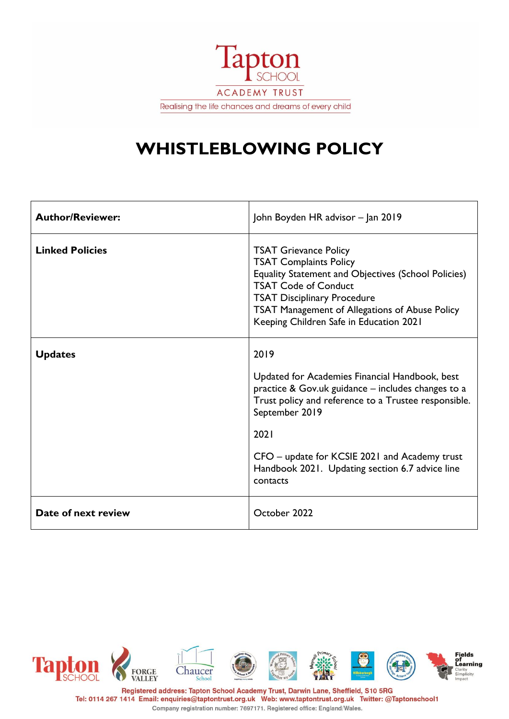

# **WHISTLEBLOWING POLICY**

| <b>Author/Reviewer:</b> | John Boyden HR advisor - Jan 2019                                                                                                                                                                                                                                                                              |
|-------------------------|----------------------------------------------------------------------------------------------------------------------------------------------------------------------------------------------------------------------------------------------------------------------------------------------------------------|
| <b>Linked Policies</b>  | <b>TSAT Grievance Policy</b><br><b>TSAT Complaints Policy</b><br><b>Equality Statement and Objectives (School Policies)</b><br><b>TSAT Code of Conduct</b><br><b>TSAT Disciplinary Procedure</b><br>TSAT Management of Allegations of Abuse Policy<br>Keeping Children Safe in Education 2021                  |
| <b>Updates</b>          | 2019<br>Updated for Academies Financial Handbook, best<br>practice & Gov.uk guidance – includes changes to a<br>Trust policy and reference to a Trustee responsible.<br>September 2019<br>2021<br>CFO – update for KCSIE 2021 and Academy trust<br>Handbook 2021. Updating section 6.7 advice line<br>contacts |
| Date of next review     | October 2022                                                                                                                                                                                                                                                                                                   |

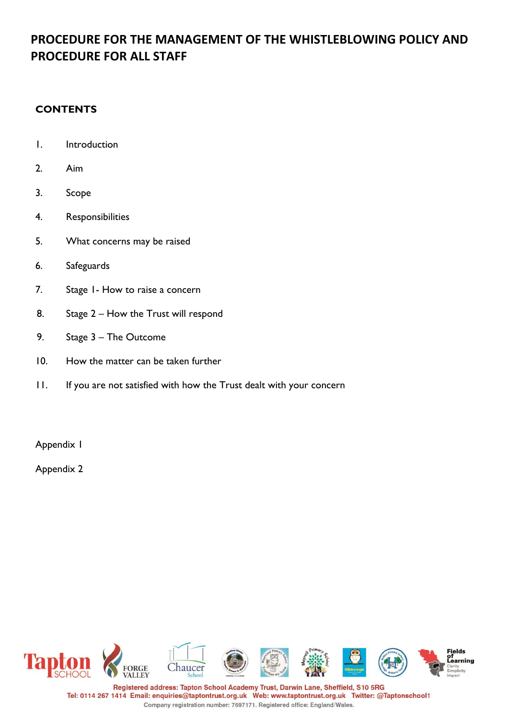## **PROCEDURE FOR THE MANAGEMENT OF THE WHISTLEBLOWING POLICY AND PROCEDURE FOR ALL STAFF**

#### **CONTENTS**

- 1. Introduction
- 2. Aim
- 3. Scope
- 4. Responsibilities
- 5. What concerns may be raised
- 6. Safeguards
- 7. Stage 1- How to raise a concern
- 8. Stage 2 How the Trust will respond
- 9. Stage 3 The Outcome
- 10. How the matter can be taken further
- 11. If you are not satisfied with how the Trust dealt with your concern

Appendix 1

Appendix 2

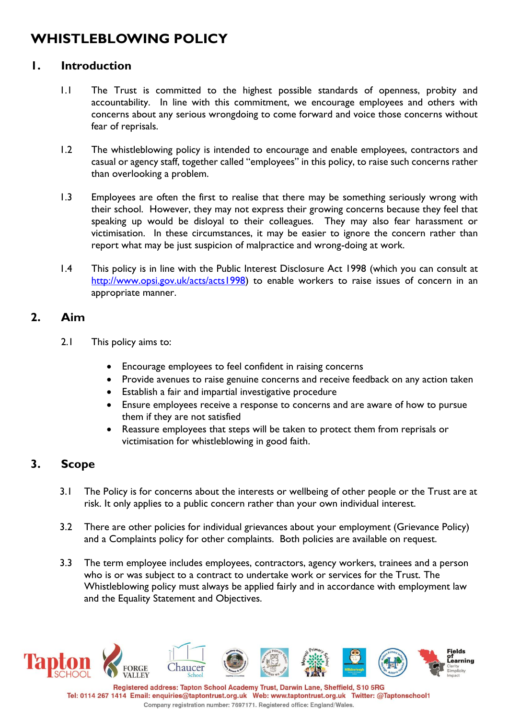## **WHISTLEBLOWING POLICY**

### **1. Introduction**

- 1.1 The Trust is committed to the highest possible standards of openness, probity and accountability. In line with this commitment, we encourage employees and others with concerns about any serious wrongdoing to come forward and voice those concerns without fear of reprisals.
- 1.2 The whistleblowing policy is intended to encourage and enable employees, contractors and casual or agency staff, together called "employees" in this policy, to raise such concerns rather than overlooking a problem.
- 1.3 Employees are often the first to realise that there may be something seriously wrong with their school. However, they may not express their growing concerns because they feel that speaking up would be disloyal to their colleagues. They may also fear harassment or victimisation. In these circumstances, it may be easier to ignore the concern rather than report what may be just suspicion of malpractice and wrong-doing at work.
- 1.4 This policy is in line with the Public Interest Disclosure Act 1998 (which you can consult at [http://www.opsi.gov.uk/acts/acts1998\)](http://www.opsi.gov.uk/acts/acts1998) to enable workers to raise issues of concern in an appropriate manner.

#### **2. Aim**

- 2.1 This policy aims to:
	- Encourage employees to feel confident in raising concerns
	- Provide avenues to raise genuine concerns and receive feedback on any action taken
	- Establish a fair and impartial investigative procedure
	- Ensure employees receive a response to concerns and are aware of how to pursue them if they are not satisfied
	- Reassure employees that steps will be taken to protect them from reprisals or victimisation for whistleblowing in good faith.

## **3. Scope**

- 3.1 The Policy is for concerns about the interests or wellbeing of other people or the Trust are at risk. It only applies to a public concern rather than your own individual interest.
- 3.2 There are other policies for individual grievances about your employment (Grievance Policy) and a Complaints policy for other complaints. Both policies are available on request.
- 3.3 The term employee includes employees, contractors, agency workers, trainees and a person who is or was subject to a contract to undertake work or services for the Trust. The Whistleblowing policy must always be applied fairly and in accordance with employment law and the Equality Statement and Objectives.

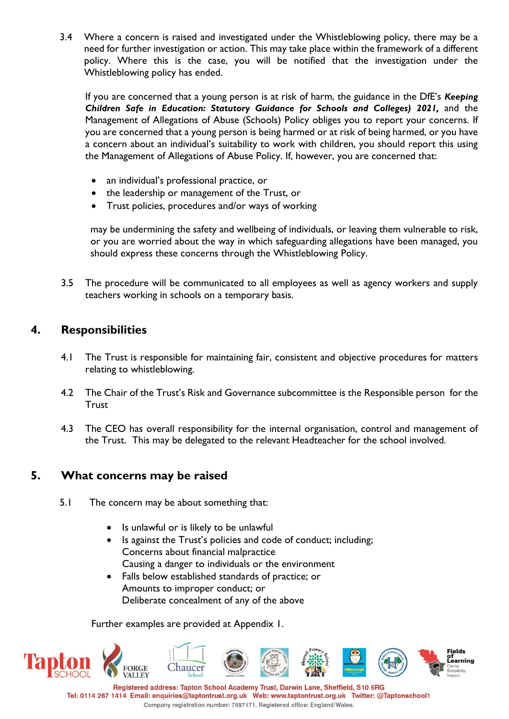3.4 Where a concern is raised and investigated under the Whistleblowing policy, there may be a need for further investigation or action. This may take place within the framework of a different policy. Where this is the case, you will be notified that the investigation under the Whistleblowing policy has ended.

If you are concerned that a young person is at risk of harm, the guidance in the DfE's *Keeping Children Safe in Education: Statutory Guidance for Schools and Colleges) 2021,* and the Management of Allegations of Abuse (Schools) Policy obliges you to report your concerns. If you are concerned that a young person is being harmed or at risk of being harmed, or you have a concern about an individual's suitability to work with children, you should report this using the Management of Allegations of Abuse Policy. If, however, you are concerned that:

- an individual's professional practice, or
- the leadership or management of the Trust, or
- Trust policies, procedures and/or ways of working

may be undermining the safety and wellbeing of individuals, or leaving them vulnerable to risk, or you are worried about the way in which safeguarding allegations have been managed, you should express these concerns through the Whistleblowing Policy.

3.5 The procedure will be communicated to all employees as well as agency workers and supply teachers working in schools on a temporary basis.

## **4. Responsibilities**

- 4.1 The Trust is responsible for maintaining fair, consistent and objective procedures for matters relating to whistleblowing.
- 4.2 The Chair of the Trust's Risk and Governance subcommittee is the Responsible person for the **Trust**
- 4.3 The CEO has overall responsibility for the internal organisation, control and management of the Trust. This may be delegated to the relevant Headteacher for the school involved.

## **5. What concerns may be raised**

- 5.1 The concern may be about something that:
	- Is unlawful or is likely to be unlawful
	- Is against the Trust's policies and code of conduct; including; Concerns about financial malpractice Causing a danger to individuals or the environment
	- Falls below established standards of practice; or Amounts to improper conduct; or Deliberate concealment of any of the above

Further examples are provided at Appendix 1.

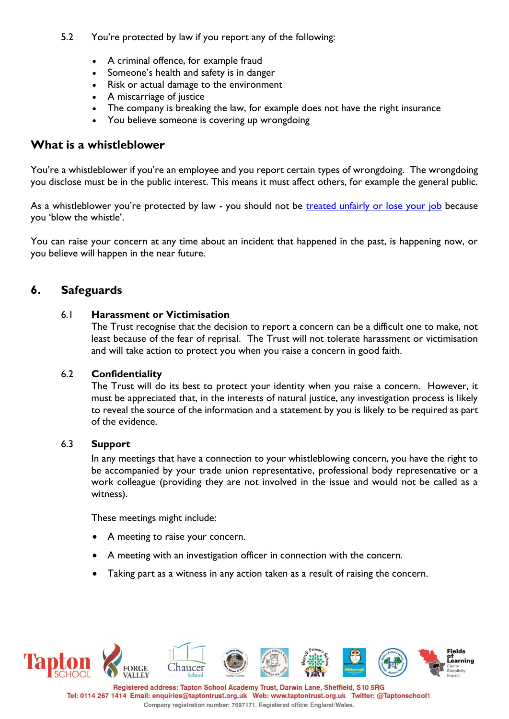#### 5.2 You're protected by law if you report any of the following:

- A criminal offence, for example fraud
- Someone's health and safety is in danger
- Risk or actual damage to the environment
- A miscarriage of justice
- The company is breaking the law, for example does not have the right insurance
- You believe someone is covering up wrongdoing

#### **What is a whistleblower**

You're a whistleblower if you're an employee and you report certain types of wrongdoing. The wrongdoing you disclose must be in the public interest. This means it must affect others, for example the general public.

As a whistleblower you're protected by law - you should not be [treated unfairly or lose your job](https://www.gov.uk/whistleblowing/treated-unfairly-after-whistleblowing) because you 'blow the whistle'.

You can raise your concern at any time about an incident that happened in the past, is happening now, or you believe will happen in the near future.

## **6. Safeguards**

#### 6.1 **Harassment or Victimisation**

The Trust recognise that the decision to report a concern can be a difficult one to make, not least because of the fear of reprisal. The Trust will not tolerate harassment or victimisation and will take action to protect you when you raise a concern in good faith.

#### 6.2 **Confidentiality**

The Trust will do its best to protect your identity when you raise a concern. However, it must be appreciated that, in the interests of natural justice, any investigation process is likely to reveal the source of the information and a statement by you is likely to be required as part of the evidence.

#### 6.3 **Support**

In any meetings that have a connection to your whistleblowing concern, you have the right to be accompanied by your trade union representative, professional body representative or a work colleague (providing they are not involved in the issue and would not be called as a witness).

These meetings might include:

- A meeting to raise your concern.
- A meeting with an investigation officer in connection with the concern.
- Taking part as a witness in any action taken as a result of raising the concern.

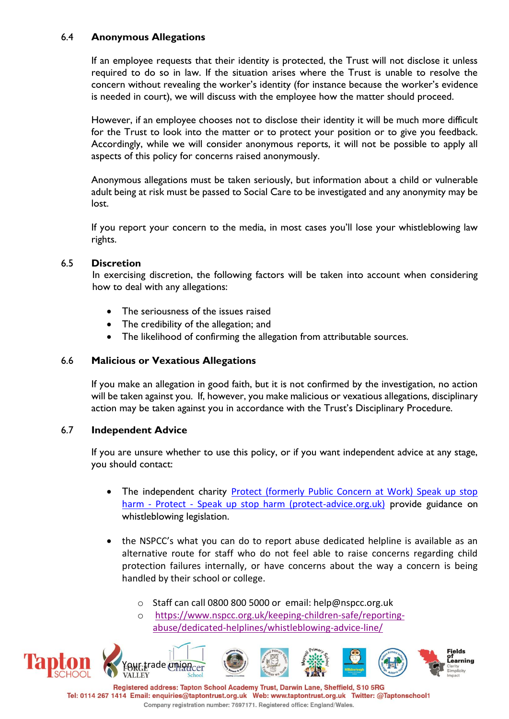#### 6.4 **Anonymous Allegations**

If an employee requests that their identity is protected, the Trust will not disclose it unless required to do so in law. If the situation arises where the Trust is unable to resolve the concern without revealing the worker's identity (for instance because the worker's evidence is needed in court), we will discuss with the employee how the matter should proceed.

However, if an employee chooses not to disclose their identity it will be much more difficult for the Trust to look into the matter or to protect your position or to give you feedback. Accordingly, while we will consider anonymous reports, it will not be possible to apply all aspects of this policy for concerns raised anonymously.

Anonymous allegations must be taken seriously, but information about a child or vulnerable adult being at risk must be passed to Social Care to be investigated and any anonymity may be lost.

If you report your concern to the media, in most cases you'll lose your whistleblowing law rights.

#### 6.5 **Discretion**

In exercising discretion, the following factors will be taken into account when considering how to deal with any allegations:

- The seriousness of the issues raised
- The credibility of the allegation; and
- The likelihood of confirming the allegation from attributable sources.

#### 6.6 **Malicious or Vexatious Allegations**

If you make an allegation in good faith, but it is not confirmed by the investigation, no action will be taken against you. If, however, you make malicious or vexatious allegations, disciplinary action may be taken against you in accordance with the Trust's Disciplinary Procedure.

#### 6.7 **Independent Advice**

If you are unsure whether to use this policy, or if you want independent advice at any stage, you should contact:

- The independent charity Protect (formerly Public Concern at Work) Speak up stop harm - Protect - [Speak up stop harm \(protect-advice.org.uk\)](https://protect-advice.org.uk/homepage/) provide guidance on whistleblowing legislation.
- the NSPCC's what you can do to report abuse dedicated helpline is available as an alternative route for staff who do not feel able to raise concerns regarding child protection failures internally, or have concerns about the way a concern is being handled by their school or college.
	- o Staff can call 0800 800 5000 or email: help@nspcc.org.uk
	- o [https://www.nspcc.org.uk/keeping-children-safe/reporting](https://www.nspcc.org.uk/keeping-children-safe/reporting-abuse/dedicated-helplines/whistleblowing-advice-line/)[abuse/dedicated-helplines/whistleblowing-advice-line/](https://www.nspcc.org.uk/keeping-children-safe/reporting-abuse/dedicated-helplines/whistleblowing-advice-line/)

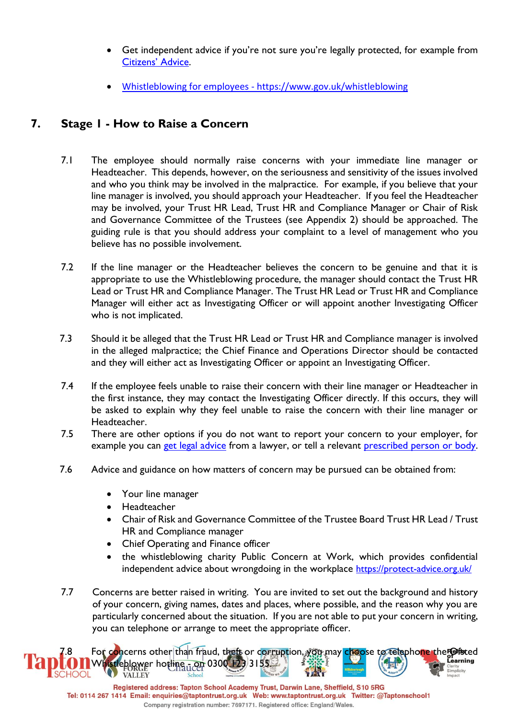- Get independent advice if you're not sure you're legally protected, for example from [Citizens' Advice](http://www.adviceguide.org.uk/).
- Whistleblowing for employees <https://www.gov.uk/whistleblowing>

## **7. Stage 1 - How to Raise a Concern**

- 7.1 The employee should normally raise concerns with your immediate line manager or Headteacher. This depends, however, on the seriousness and sensitivity of the issues involved and who you think may be involved in the malpractice. For example, if you believe that your line manager is involved, you should approach your Headteacher. If you feel the Headteacher may be involved, your Trust HR Lead, Trust HR and Compliance Manager or Chair of Risk and Governance Committee of the Trustees (see Appendix 2) should be approached. The guiding rule is that you should address your complaint to a level of management who you believe has no possible involvement.
- 7.2 If the line manager or the Headteacher believes the concern to be genuine and that it is appropriate to use the Whistleblowing procedure, the manager should contact the Trust HR Lead or Trust HR and Compliance Manager. The Trust HR Lead or Trust HR and Compliance Manager will either act as Investigating Officer or will appoint another Investigating Officer who is not implicated.
- 7.3 Should it be alleged that the Trust HR Lead or Trust HR and Compliance manager is involved in the alleged malpractice; the Chief Finance and Operations Director should be contacted and they will either act as Investigating Officer or appoint an Investigating Officer.
- 7.4 If the employee feels unable to raise their concern with their line manager or Headteacher in the first instance, they may contact the Investigating Officer directly. If this occurs, they will be asked to explain why they feel unable to raise the concern with their line manager or Headteacher.
- 7.5 There are other options if you do not want to report your concern to your employer, for example you can [get legal advice](https://www.gov.uk/find-a-legal-adviser) from a lawyer, or tell a relevant [prescribed person or body.](https://www.gov.uk/government/publications/blowing-the-whistle-list-of-prescribed-people-and-bodies--2)
- 7.6 Advice and guidance on how matters of concern may be pursued can be obtained from:
	- Your line manager
	- Headteacher
	- Chair of Risk and Governance Committee of the Trustee Board Trust HR Lead / Trust HR and Compliance manager
	- Chief Operating and Finance officer
	- the whistleblowing charity Public Concern at Work, which provides confidential independent advice about wrongdoing in the workplace <https://protect-advice.org.uk/>
- 7.7 Concerns are better raised in writing. You are invited to set out the background and history of your concern, giving names, dates and places, where possible, and the reason why you are particularly concerned about the situation. If you are not able to put your concern in writing, you can telephone or arrange to meet the appropriate officer.

For concerns other than fraud, theft or corruption, you may choose to telephone the Ofsted Whistleblower hotline - On 0300 123 3155. **VALLEY**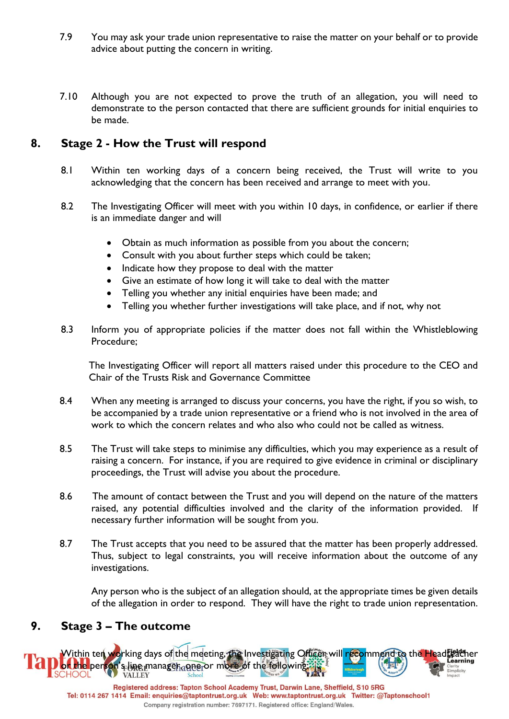- 7.9 You may ask your trade union representative to raise the matter on your behalf or to provide advice about putting the concern in writing.
- 7.10 Although you are not expected to prove the truth of an allegation, you will need to demonstrate to the person contacted that there are sufficient grounds for initial enquiries to be made.

### **8. Stage 2 - How the Trust will respond**

- 8.1 Within ten working days of a concern being received, the Trust will write to you acknowledging that the concern has been received and arrange to meet with you.
- 8.2 The Investigating Officer will meet with you within 10 days, in confidence, or earlier if there is an immediate danger and will
	- Obtain as much information as possible from you about the concern;
	- Consult with you about further steps which could be taken;
	- Indicate how they propose to deal with the matter
	- Give an estimate of how long it will take to deal with the matter
	- Telling you whether any initial enquiries have been made; and
	- Telling you whether further investigations will take place, and if not, why not
- 8.3 Inform you of appropriate policies if the matter does not fall within the Whistleblowing Procedure;

The Investigating Officer will report all matters raised under this procedure to the CEO and Chair of the Trusts Risk and Governance Committee

- 8.4 When any meeting is arranged to discuss your concerns, you have the right, if you so wish, to be accompanied by a trade union representative or a friend who is not involved in the area of work to which the concern relates and who also who could not be called as witness.
- 8.5 The Trust will take steps to minimise any difficulties, which you may experience as a result of raising a concern. For instance, if you are required to give evidence in criminal or disciplinary proceedings, the Trust will advise you about the procedure.
- 8.6 The amount of contact between the Trust and you will depend on the nature of the matters raised, any potential difficulties involved and the clarity of the information provided. If necessary further information will be sought from you.
- 8.7 The Trust accepts that you need to be assured that the matter has been properly addressed. Thus, subject to legal constraints, you will receive information about the outcome of any investigations.

Any person who is the subject of an allegation should, at the appropriate times be given details of the allegation in order to respond. They will have the right to trade union representation.

#### **9. Stage 3 – The outcome**

Within ten working days of the meeting, the Investigating Officer wil<mark>l rec</mark>ommend to the Headteacher **Jor the person's line manager, appel or more of the following**<br>SCHOOL **VALLEY**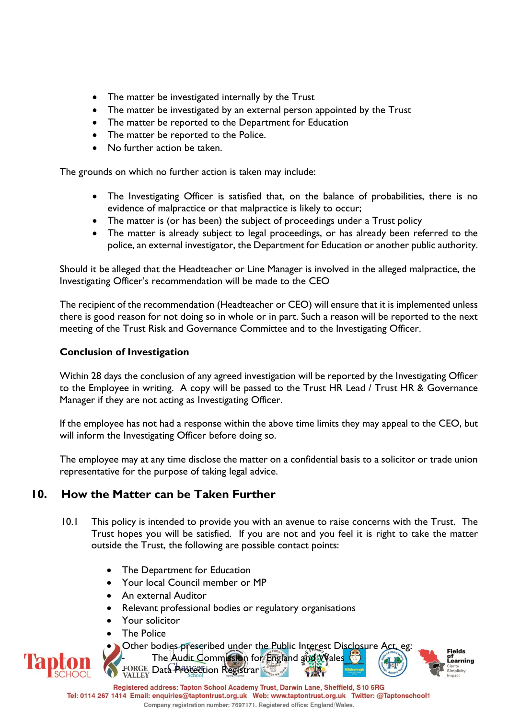- The matter be investigated internally by the Trust
- The matter be investigated by an external person appointed by the Trust
- The matter be reported to the Department for Education
- The matter be reported to the Police.
- No further action be taken.

The grounds on which no further action is taken may include:

- The Investigating Officer is satisfied that, on the balance of probabilities, there is no evidence of malpractice or that malpractice is likely to occur;
- The matter is (or has been) the subject of proceedings under a Trust policy
- The matter is already subject to legal proceedings, or has already been referred to the police, an external investigator, the Department for Education or another public authority.

Should it be alleged that the Headteacher or Line Manager is involved in the alleged malpractice, the Investigating Officer's recommendation will be made to the CEO

The recipient of the recommendation (Headteacher or CEO) will ensure that it is implemented unless there is good reason for not doing so in whole or in part. Such a reason will be reported to the next meeting of the Trust Risk and Governance Committee and to the Investigating Officer.

#### **Conclusion of Investigation**

Within 28 days the conclusion of any agreed investigation will be reported by the Investigating Officer to the Employee in writing. A copy will be passed to the Trust HR Lead / Trust HR & Governance Manager if they are not acting as Investigating Officer.

If the employee has not had a response within the above time limits they may appeal to the CEO, but will inform the Investigating Officer before doing so.

The employee may at any time disclose the matter on a confidential basis to a solicitor or trade union representative for the purpose of taking legal advice.

## **10. How the Matter can be Taken Further**

- 10.1 This policy is intended to provide you with an avenue to raise concerns with the Trust. The Trust hopes you will be satisfied. If you are not and you feel it is right to take the matter outside the Trust, the following are possible contact points:
	- The Department for Education
	- Your local Council member or MP
	- An external Auditor
	- Relevant professional bodies or regulatory organisations
	- Your solicitor
	- The Police
		-



Other bodies prescribed under the Public Interest Disclosure Act, eg: The Audit Commission for England and Wales FORGE Data Protection Registrar

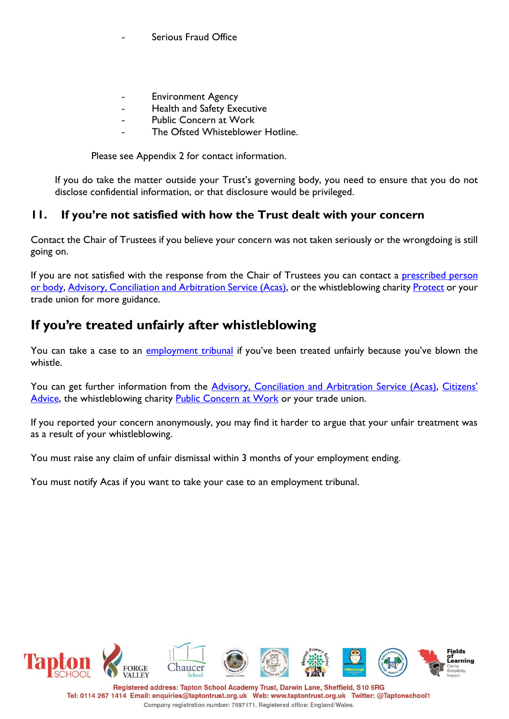Serious Fraud Office

- **Environment Agency**
- Health and Safety Executive
- Public Concern at Work
- The Ofsted Whisteblower Hotline.

Please see Appendix 2 for contact information.

If you do take the matter outside your Trust's governing body, you need to ensure that you do not disclose confidential information, or that disclosure would be privileged.

## **11. If you're not satisfied with how the Trust dealt with your concern**

Contact the Chair of Trustees if you believe your concern was not taken seriously or the wrongdoing is still going on.

If you are not satisfied with the response from the Chair of Trustees you can contact a prescribed person [or body,](https://www.gov.uk/government/publications/blowing-the-whistle-list-of-prescribed-people-and-bodies--2) [Advisory, Conciliation and Arbitration Service \(Acas\),](https://www.gov.uk/acas) or the whistleblowing charity [Protect](https://www.pcaw.org.uk/) or your trade union for more guidance.

## **If you're treated unfairly after whistleblowing**

You can take a case to an [employment tribunal](https://www.gov.uk/employment-tribunals) if you've been treated unfairly because you've blown the whistle.

You can get further information from the [Advisory, Conciliation and Arbitration Service \(Acas\),](https://www.gov.uk/acas) [Citize](http://www.adviceguide.org.uk/)ns' [Advice,](http://www.adviceguide.org.uk/) the whistleblowing charity [Public Concern at Work](http://www.pcaw.org.uk/contact-us) or your trade union.

If you reported your concern anonymously, you may find it harder to argue that your unfair treatment was as a result of your whistleblowing.

You must raise any claim of unfair dismissal within 3 months of your employment ending.

You must notify Acas if you want to take your case to an employment tribunal.

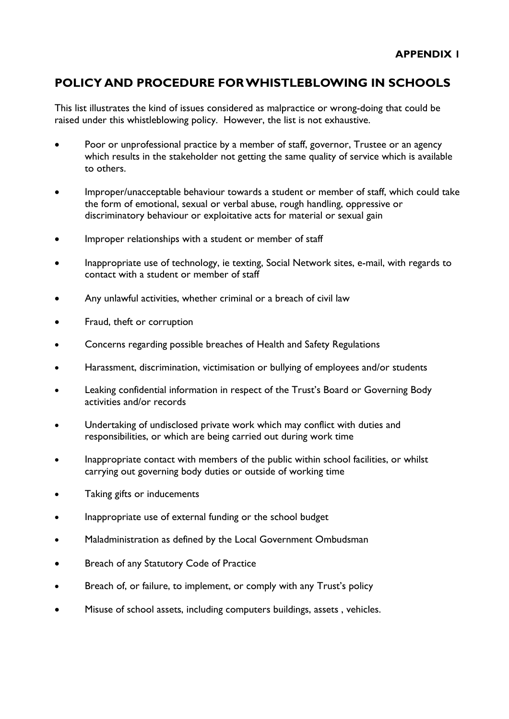## **POLICY AND PROCEDURE FOR WHISTLEBLOWING IN SCHOOLS**

This list illustrates the kind of issues considered as malpractice or wrong-doing that could be raised under this whistleblowing policy. However, the list is not exhaustive.

- Poor or unprofessional practice by a member of staff, governor, Trustee or an agency which results in the stakeholder not getting the same quality of service which is available to others.
- Improper/unacceptable behaviour towards a student or member of staff, which could take the form of emotional, sexual or verbal abuse, rough handling, oppressive or discriminatory behaviour or exploitative acts for material or sexual gain
- Improper relationships with a student or member of staff
- Inappropriate use of technology, ie texting, Social Network sites, e-mail, with regards to contact with a student or member of staff
- Any unlawful activities, whether criminal or a breach of civil law
- Fraud, theft or corruption
- Concerns regarding possible breaches of Health and Safety Regulations
- Harassment, discrimination, victimisation or bullying of employees and/or students
- Leaking confidential information in respect of the Trust's Board or Governing Body activities and/or records
- Undertaking of undisclosed private work which may conflict with duties and responsibilities, or which are being carried out during work time
- Inappropriate contact with members of the public within school facilities, or whilst carrying out governing body duties or outside of working time
- Taking gifts or inducements
- Inappropriate use of external funding or the school budget
- Maladministration as defined by the Local Government Ombudsman
- Breach of any Statutory Code of Practice
- Breach of, or failure, to implement, or comply with any Trust's policy
- Misuse of school assets, including computers buildings, assets , vehicles.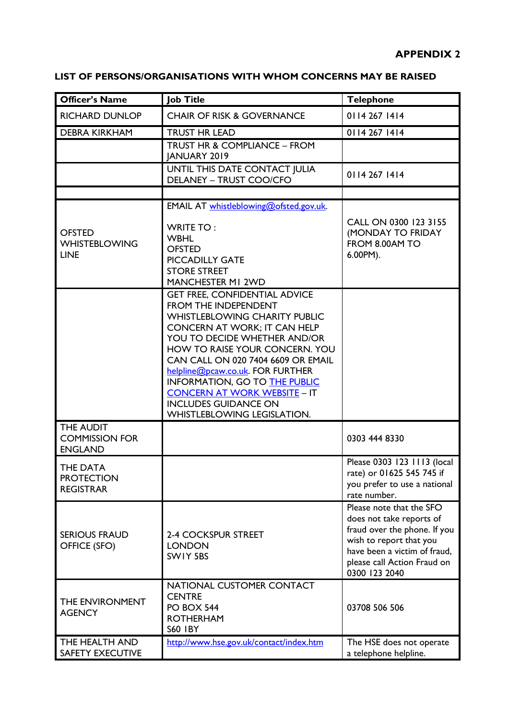| LIST OF PERSONS/ORGANISATIONS WITH WHOM CONCERNS MAY BE RAISED |
|----------------------------------------------------------------|
|----------------------------------------------------------------|

| <b>Officer's Name</b>                                | <b>Job Title</b>                                                                                                                                                                                                                                                                                                                                                                                                              | <b>Telephone</b>                                                                                                                                                                                |
|------------------------------------------------------|-------------------------------------------------------------------------------------------------------------------------------------------------------------------------------------------------------------------------------------------------------------------------------------------------------------------------------------------------------------------------------------------------------------------------------|-------------------------------------------------------------------------------------------------------------------------------------------------------------------------------------------------|
| <b>RICHARD DUNLOP</b>                                | <b>CHAIR OF RISK &amp; GOVERNANCE</b>                                                                                                                                                                                                                                                                                                                                                                                         | 0114 267 1414                                                                                                                                                                                   |
| <b>DEBRA KIRKHAM</b>                                 | <b>TRUST HR LEAD</b>                                                                                                                                                                                                                                                                                                                                                                                                          | 0114 267 1414                                                                                                                                                                                   |
|                                                      | TRUST HR & COMPLIANCE - FROM<br><b>JANUARY 2019</b>                                                                                                                                                                                                                                                                                                                                                                           |                                                                                                                                                                                                 |
|                                                      | UNTIL THIS DATE CONTACT JULIA<br><b>DELANEY - TRUST COO/CFO</b>                                                                                                                                                                                                                                                                                                                                                               | 0114 267 1414                                                                                                                                                                                   |
|                                                      |                                                                                                                                                                                                                                                                                                                                                                                                                               |                                                                                                                                                                                                 |
| <b>OFSTED</b><br><b>WHISTEBLOWING</b><br><b>LINE</b> | EMAIL AT whistleblowing@ofsted.gov.uk.<br><b>WRITE TO:</b><br><b>WBHL</b><br><b>OFSTED</b><br><b>PICCADILLY GATE</b><br><b>STORE STREET</b><br><b>MANCHESTER MI 2WD</b>                                                                                                                                                                                                                                                       | CALL ON 0300 123 3155<br>(MONDAY TO FRIDAY<br>FROM 8.00AM TO<br>6.00PM).                                                                                                                        |
|                                                      | <b>GET FREE, CONFIDENTIAL ADVICE</b><br>FROM THE INDEPENDENT<br><b>WHISTLEBLOWING CHARITY PUBLIC</b><br>CONCERN AT WORK; IT CAN HELP<br>YOU TO DECIDE WHETHER AND/OR<br>HOW TO RAISE YOUR CONCERN. YOU<br>CAN CALL ON 020 7404 6609 OR EMAIL<br>helpline@pcaw.co.uk. FOR FURTHER<br>INFORMATION, GO TO THE PUBLIC<br><b>CONCERN AT WORK WEBSITE - IT</b><br><b>INCLUDES GUIDANCE ON</b><br><b>WHISTLEBLOWING LEGISLATION.</b> |                                                                                                                                                                                                 |
| THE AUDIT<br><b>COMMISSION FOR</b><br><b>ENGLAND</b> |                                                                                                                                                                                                                                                                                                                                                                                                                               | 0303 444 8330                                                                                                                                                                                   |
| THE DATA<br><b>PROTECTION</b><br><b>REGISTRAR</b>    |                                                                                                                                                                                                                                                                                                                                                                                                                               | Please 0303 123 1113 (local<br>rate) or 01625 545 745 if<br>you prefer to use a national<br>rate number.                                                                                        |
| <b>SERIOUS FRAUD</b><br>OFFICE (SFO)                 | <b>2-4 COCKSPUR STREET</b><br><b>LONDON</b><br>SWIY 5BS                                                                                                                                                                                                                                                                                                                                                                       | Please note that the SFO<br>does not take reports of<br>fraud over the phone. If you<br>wish to report that you<br>have been a victim of fraud,<br>please call Action Fraud on<br>0300 123 2040 |
| THE ENVIRONMENT<br><b>AGENCY</b>                     | NATIONAL CUSTOMER CONTACT<br><b>CENTRE</b><br>PO BOX 544<br><b>ROTHERHAM</b><br><b>S60 IBY</b>                                                                                                                                                                                                                                                                                                                                | 03708 506 506                                                                                                                                                                                   |
| THE HEALTH AND<br>SAFETY EXECUTIVE                   | http://www.hse.gov.uk/contact/index.htm                                                                                                                                                                                                                                                                                                                                                                                       | The HSE does not operate<br>a telephone helpline.                                                                                                                                               |